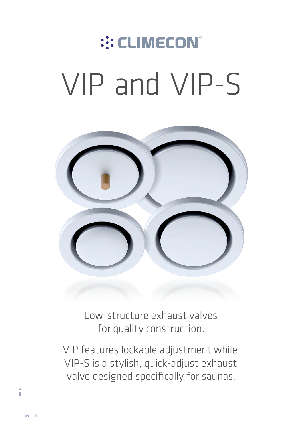# :: CLIMECON® VIP and VIP-S



Low-structure exhaust valves for quality construction.

VIP features lockable adjustment while VIP-S is a stylish, quick-adjust exhaust valve designed specifically for saunas.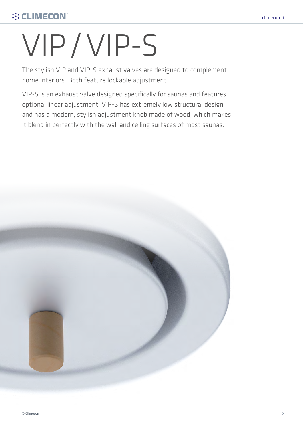# ::: CLIMECON®

# VIP/VIP-S

The stylish VIP and VIP-S exhaust valves are designed to complement home interiors. Both feature lockable adjustment.

VIP-S is an exhaust valve designed specifically for saunas and features optional linear adjustment. VIP-S has extremely low structural design and has a modern, stylish adjustment knob made of wood, which makes it blend in perfectly with the wall and ceiling surfaces of most saunas.

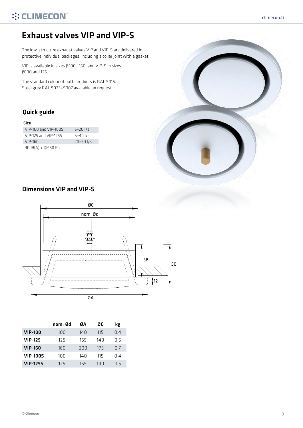# Exhaust valves VIP and VIP-S

The low-structure exhaust valves VIP and VIP-S are delivered in protective individual packages, including a collar joint with a gasket.

VIP is available in sizes Ø100 –160, and VIP-S in sizes Ø100 and 125.

The standard colour of both products is RAL 9016. Steel grey RAL 9023+9007 available on request.

## Quick guide

#### Size

| VIP-100 and VIP-100S | $5 - 20$ $1/s$ |
|----------------------|----------------|
| VIP-125 and VIP-1255 | $5 - 40$ I/s   |
| $VIP-160$            | $20 - 60$ I/s  |
| $30dB(A) < DP 60$ Pa |                |



## Dimensions VIP and VIP-S



|                 | nom. Ød | ØΑ  | ØC   | kg  |
|-----------------|---------|-----|------|-----|
| <b>VIP-100</b>  | 100     | 140 | 115  | 0.4 |
| <b>VIP-125</b>  | 125     | 165 | 14 N | 0.5 |
| <b>VIP-160</b>  | 160     | 200 | 175  | 0.7 |
| <b>VIP-100S</b> | 100     | 140 | 115  | 0.4 |
| <b>VIP-125S</b> | 125     | 165 | 140  | 0.5 |